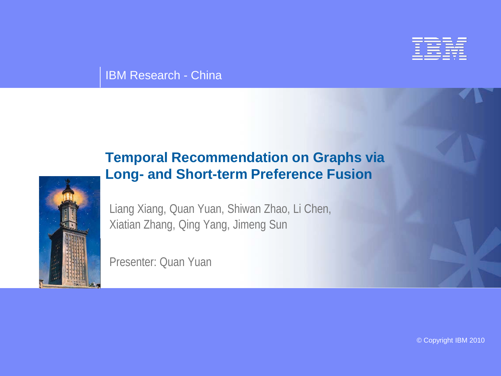

#### IBM Research - China

#### **Temporal Recommendation on Graphs via Long- and Short-term Preference Fusion**



Liang Xiang, Quan Yuan, Shiwan Zhao, Li Chen, Xiatian Zhang, Qing Yang, Jimeng Sun

Presenter: Quan Yuan

© Copyright IBM 2010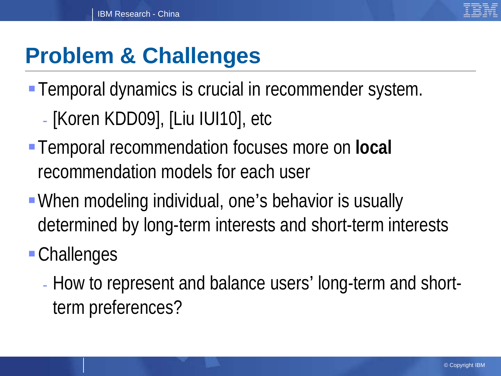

# **Problem & Challenges**

- **Temporal dynamics is crucial in recommender system.** - [Koren KDD09], [Liu IUI10], etc
- Temporal recommendation focuses more on **local** recommendation models for each user
- When modeling individual, one's behavior is usually determined by long-term interests and short-term interests

## Challenges

- How to represent and balance users' long-term and shortterm preferences?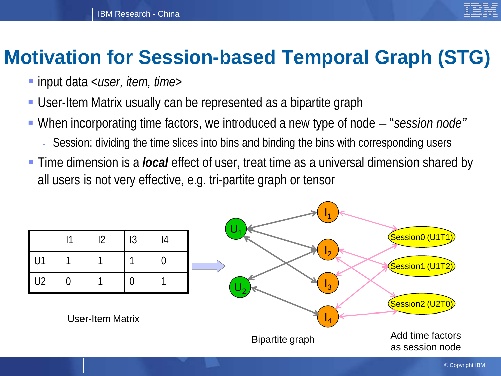

#### **Motivation for Session-based Temporal Graph (STG)**

- input data <*user, item, time*>
- User-Item Matrix usually can be represented as a bipartite graph
- When incorporating time factors, we introduced a new type of node "*session node"*
	- Session: dividing the time slices into bins and binding the bins with corresponding users
- Time dimension is a *local* effect of user, treat time as a universal dimension shared by all users is not very effective, e.g. tri-partite graph or tensor

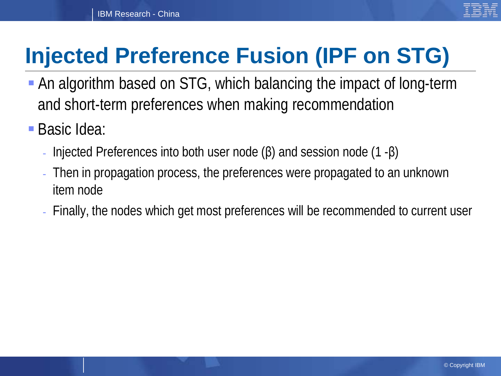# **Injected Preference Fusion (IPF on STG)**

- An algorithm based on STG, which balancing the impact of long-term and short-term preferences when making recommendation
- Basic Idea:
	- Injected Preferences into both user node  $(β)$  and session node  $(1 β)$
	- Then in propagation process, the preferences were propagated to an unknown item node
	- Finally, the nodes which get most preferences will be recommended to current user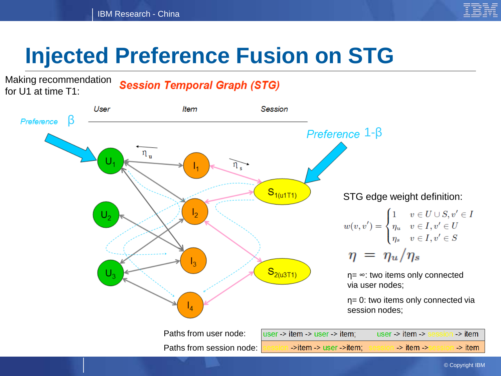

# **Injected Preference Fusion on STG**

Making recommendation for U1 at time T1:

**Session Temporal Graph (STG)** 

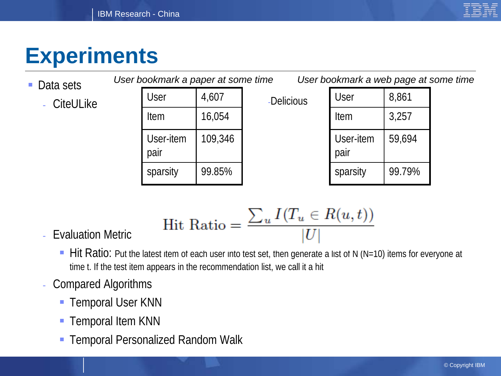

# **Experiments**

| • Data sets      | User bookmark a paper at some time<br>User bookmark a web page at some time |                   |         |            |                   |        |  |  |
|------------------|-----------------------------------------------------------------------------|-------------------|---------|------------|-------------------|--------|--|--|
| <b>CiteULike</b> |                                                                             | User              | 4,607   | -Delicious | User              | 8,861  |  |  |
|                  |                                                                             | Item              | 16,054  |            | Item              | 3,257  |  |  |
|                  |                                                                             | User-item<br>pair | 109,346 |            | User-item<br>pair | 59,694 |  |  |
|                  |                                                                             | sparsity          | 99.85%  |            | sparsity          | 99.79% |  |  |

$$
Hit Ratio = \frac{\sum_{u} I(T_u \in R(u, t))}{|U|}
$$

- Evaluation Metric
	- Hit Ratio: Put the latest item of each user into test set, then generate a list of N (N=10) items for everyone at time t. If the test item appears in the recommendation list, we call it a hit
- Compared Algorithms
	- **Temporal User KNN**
	- **Temporal Item KNN**
	- **Temporal Personalized Random Walk**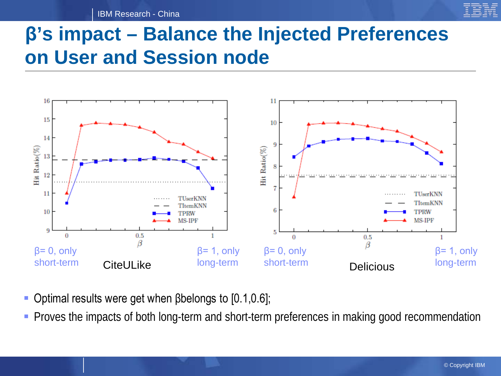IBM Research - China

### **β's impact – Balance the Injected Preferences on User and Session node**



- $\blacksquare$  Optimal results were get when βbelongs to [0.1,0.6];
- **Proves the impacts of both long-term and short-term preferences in making good recommendation**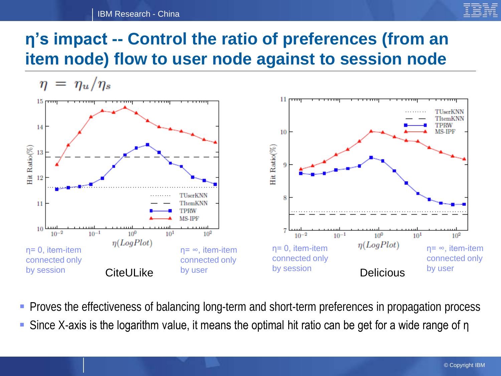#### IBM Research - China



#### **η's impact -- Control the ratio of preferences (from an item node) flow to user node against to session node**

 $\eta = \eta_u/\eta_s$ 



- **Proves the effectiveness of balancing long-term and short-term preferences in propagation process**
- Since X-axis is the logarithm value, it means the optimal hit ratio can be get for a wide range of η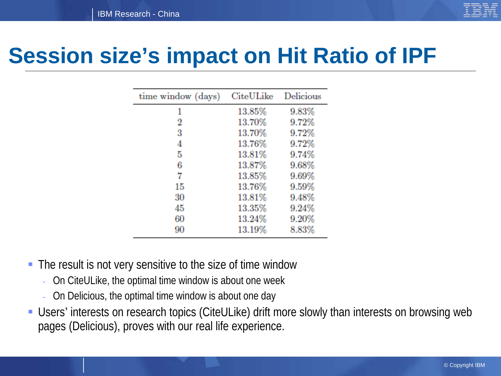

## **Session size's impact on Hit Ratio of IPF**

| time window (days) | CiteULike | Delicious |
|--------------------|-----------|-----------|
| 1                  | 13.85%    | 9.83%     |
| 2                  | 13.70%    | 9.72%     |
| 3                  | 13.70%    | 9.72%     |
| 4                  | 13.76%    | 9.72%     |
| 5                  | 13.81%    | 9.74%     |
| 6                  | 13.87%    | 9.68%     |
| 7                  | 13.85%    | 9.69%     |
| 15                 | 13.76%    | 9.59%     |
| 30                 | 13.81%    | 9.48%     |
| 45                 | 13.35%    | 9.24%     |
| 60                 | 13.24%    | 9.20%     |
| 90                 | 13.19%    | 8.83%     |

- The result is not very sensitive to the size of time window
	- On CiteULike, the optimal time window is about one week
	- On Delicious, the optimal time window is about one day
- Users' interests on research topics (CiteULike) drift more slowly than interests on browsing web pages (Delicious), proves with our real life experience.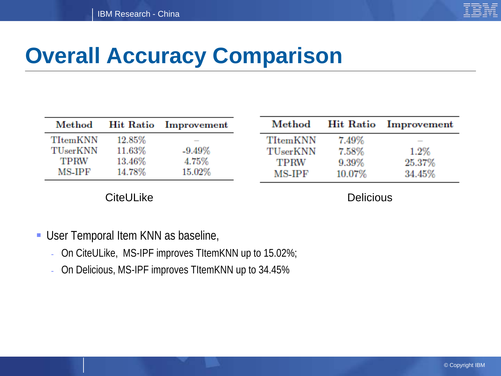

# **Overall Accuracy Comparison**

| $\operatorname{\mathbf{Method}}$ |        | Hit Ratio Improvement | $\operatorname{\mathbf{Met}}$ hod |        | <b>Hit Ratio</b> Improvement |
|----------------------------------|--------|-----------------------|-----------------------------------|--------|------------------------------|
| TItemKNN                         | 12.85% |                       | TItemKNN                          | 7.49%  |                              |
| TUserKNN                         | 11.63% | $-9.49\%$             | TUserKNN                          | 7.58%  | $1.2\%$                      |
| TPRW                             | 13.46% | 4.75%                 | TPRW                              | 9.39%  | 25.37%                       |
| MS-IPF                           | 14.78% | 15.02%                | MS-IPF                            | 10.07% | 34.45%                       |

CiteULike Delicious

- User Temporal Item KNN as baseline,
	- On CiteULike, MS-IPF improves TItemKNN up to 15.02%;
	- On Delicious, MS-IPF improves TItemKNN up to 34.45%